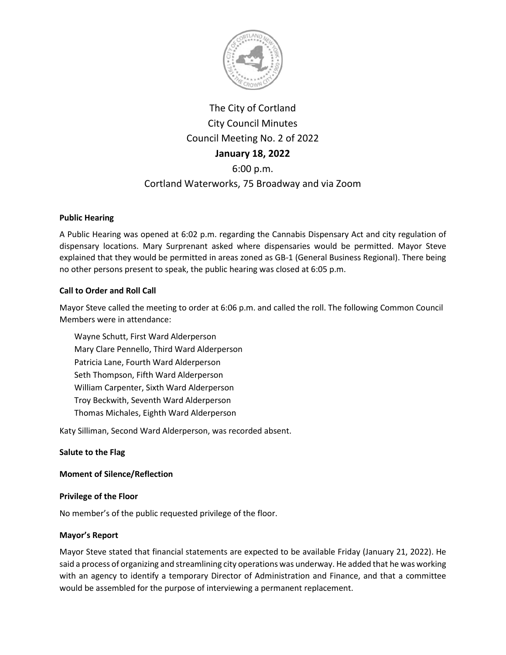

# The City of Cortland City Council Minutes Council Meeting No. 2 of 2022 **January 18, 2022** 6:00 p.m.

## Cortland Waterworks, 75 Broadway and via Zoom

## **Public Hearing**

A Public Hearing was opened at 6:02 p.m. regarding the Cannabis Dispensary Act and city regulation of dispensary locations. Mary Surprenant asked where dispensaries would be permitted. Mayor Steve explained that they would be permitted in areas zoned as GB-1 (General Business Regional). There being no other persons present to speak, the public hearing was closed at 6:05 p.m.

## **Call to Order and Roll Call**

Mayor Steve called the meeting to order at 6:06 p.m. and called the roll. The following Common Council Members were in attendance:

Wayne Schutt, First Ward Alderperson Mary Clare Pennello, Third Ward Alderperson Patricia Lane, Fourth Ward Alderperson Seth Thompson, Fifth Ward Alderperson William Carpenter, Sixth Ward Alderperson Troy Beckwith, Seventh Ward Alderperson Thomas Michales, Eighth Ward Alderperson

Katy Silliman, Second Ward Alderperson, was recorded absent.

## **Salute to the Flag**

## **Moment of Silence/Reflection**

## **Privilege of the Floor**

No member's of the public requested privilege of the floor.

## **Mayor's Report**

Mayor Steve stated that financial statements are expected to be available Friday (January 21, 2022). He said a process of organizing and streamlining city operations was underway. He added that he was working with an agency to identify a temporary Director of Administration and Finance, and that a committee would be assembled for the purpose of interviewing a permanent replacement.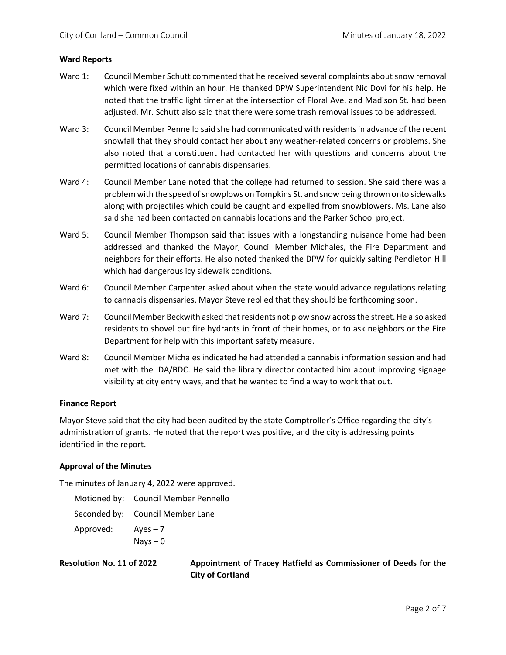#### **Ward Reports**

- Ward 1: Council Member Schutt commented that he received several complaints about snow removal which were fixed within an hour. He thanked DPW Superintendent Nic Dovi for his help. He noted that the traffic light timer at the intersection of Floral Ave. and Madison St. had been adjusted. Mr. Schutt also said that there were some trash removal issues to be addressed.
- Ward 3: Council Member Pennello said she had communicated with residents in advance of the recent snowfall that they should contact her about any weather-related concerns or problems. She also noted that a constituent had contacted her with questions and concerns about the permitted locations of cannabis dispensaries.
- Ward 4: Council Member Lane noted that the college had returned to session. She said there was a problem with the speed of snowplows on Tompkins St. and snow being thrown onto sidewalks along with projectiles which could be caught and expelled from snowblowers. Ms. Lane also said she had been contacted on cannabis locations and the Parker School project.
- Ward 5: Council Member Thompson said that issues with a longstanding nuisance home had been addressed and thanked the Mayor, Council Member Michales, the Fire Department and neighbors for their efforts. He also noted thanked the DPW for quickly salting Pendleton Hill which had dangerous icy sidewalk conditions.
- Ward 6: Council Member Carpenter asked about when the state would advance regulations relating to cannabis dispensaries. Mayor Steve replied that they should be forthcoming soon.
- Ward 7: Council Member Beckwith asked that residents not plow snow across the street. He also asked residents to shovel out fire hydrants in front of their homes, or to ask neighbors or the Fire Department for help with this important safety measure.
- Ward 8: Council Member Michales indicated he had attended a cannabis information session and had met with the IDA/BDC. He said the library director contacted him about improving signage visibility at city entry ways, and that he wanted to find a way to work that out.

#### **Finance Report**

Mayor Steve said that the city had been audited by the state Comptroller's Office regarding the city's administration of grants. He noted that the report was positive, and the city is addressing points identified in the report.

## **Approval of the Minutes**

The minutes of January 4, 2022 were approved.

|           | Motioned by: Council Member Pennello |
|-----------|--------------------------------------|
|           | Seconded by: Council Member Lane     |
| Approved: | $Aves - 7$                           |
|           | $Nays - 0$                           |

**Resolution No. 11 of 2022 Appointment of Tracey Hatfield as Commissioner of Deeds for the City of Cortland**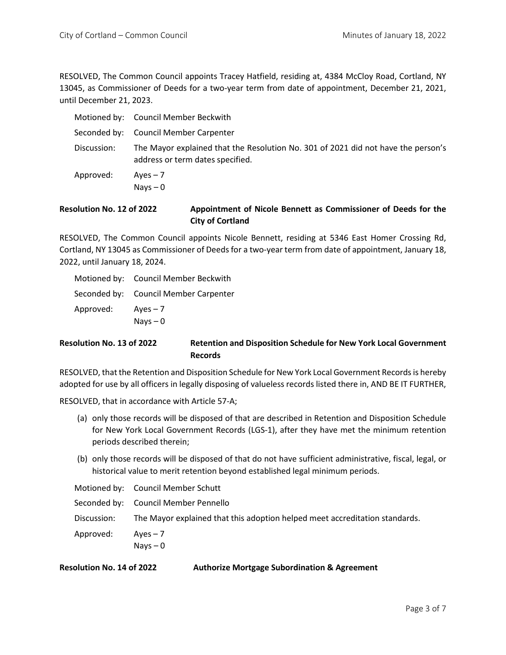RESOLVED, The Common Council appoints Tracey Hatfield, residing at, 4384 McCloy Road, Cortland, NY 13045, as Commissioner of Deeds for a two-year term from date of appointment, December 21, 2021, until December 21, 2023.

|             | Motioned by: Council Member Beckwith                                                                                  |
|-------------|-----------------------------------------------------------------------------------------------------------------------|
|             | Seconded by: Council Member Carpenter                                                                                 |
| Discussion: | The Mayor explained that the Resolution No. 301 of 2021 did not have the person's<br>address or term dates specified. |
| Approved:   | $Aves - 7$<br>$N$ ays $-0$                                                                                            |

## **Resolution No. 12 of 2022 Appointment of Nicole Bennett as Commissioner of Deeds for the City of Cortland**

RESOLVED, The Common Council appoints Nicole Bennett, residing at 5346 East Homer Crossing Rd, Cortland, NY 13045 as Commissioner of Deeds for a two-year term from date of appointment, January 18, 2022, until January 18, 2024.

|           | Motioned by: Council Member Beckwith  |
|-----------|---------------------------------------|
|           | Seconded by: Council Member Carpenter |
| Approved: | $Aves - 7$                            |
|           | $Nays - 0$                            |

## **Resolution No. 13 of 2022 Retention and Disposition Schedule for New York Local Government Records**

RESOLVED, that the Retention and Disposition Schedule for New York Local Government Records is hereby adopted for use by all officers in legally disposing of valueless records listed there in, AND BE IT FURTHER,

RESOLVED, that in accordance with Article 57-A;

- (a) only those records will be disposed of that are described in Retention and Disposition Schedule for New York Local Government Records (LGS-1), after they have met the minimum retention periods described therein;
- (b) only those records will be disposed of that do not have sufficient administrative, fiscal, legal, or historical value to merit retention beyond established legal minimum periods.

|             | Motioned by: Council Member Schutt                                          |
|-------------|-----------------------------------------------------------------------------|
|             | Seconded by: Council Member Pennello                                        |
| Discussion: | The Mayor explained that this adoption helped meet accreditation standards. |
| Approved:   | Aves $-7$                                                                   |
|             | Nays $-0$                                                                   |

**Resolution No. 14 of 2022 Authorize Mortgage Subordination & Agreement**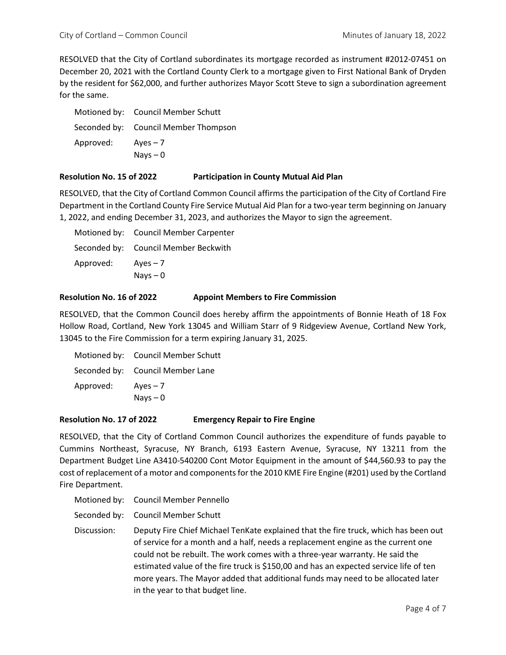RESOLVED that the City of Cortland subordinates its mortgage recorded as instrument #2012-07451 on December 20, 2021 with the Cortland County Clerk to a mortgage given to First National Bank of Dryden by the resident for \$62,000, and further authorizes Mayor Scott Steve to sign a subordination agreement for the same.

|           | Motioned by: Council Member Schutt   |
|-----------|--------------------------------------|
|           | Seconded by: Council Member Thompson |
| Approved: | $Aves - 7$                           |
|           | $Nays - 0$                           |

#### **Resolution No. 15 of 2022 Participation in County Mutual Aid Plan**

RESOLVED, that the City of Cortland Common Council affirms the participation of the City of Cortland Fire Department in the Cortland County Fire Service Mutual Aid Plan for a two-year term beginning on January 1, 2022, and ending December 31, 2023, and authorizes the Mayor to sign the agreement.

|           | Motioned by: Council Member Carpenter |
|-----------|---------------------------------------|
|           | Seconded by: Council Member Beckwith  |
| Approved: | $Aves - 7$                            |
|           | Nays $-0$                             |

## **Resolution No. 16 of 2022 Appoint Members to Fire Commission**

RESOLVED, that the Common Council does hereby affirm the appointments of Bonnie Heath of 18 Fox Hollow Road, Cortland, New York 13045 and William Starr of 9 Ridgeview Avenue, Cortland New York, 13045 to the Fire Commission for a term expiring January 31, 2025.

|           | Motioned by: Council Member Schutt |
|-----------|------------------------------------|
|           | Seconded by: Council Member Lane   |
| Approved: | $Aves - 7$                         |
|           | Nays $-0$                          |

#### **Resolution No. 17 of 2022 Emergency Repair to Fire Engine**

RESOLVED, that the City of Cortland Common Council authorizes the expenditure of funds payable to Cummins Northeast, Syracuse, NY Branch, 6193 Eastern Avenue, Syracuse, NY 13211 from the Department Budget Line A3410-540200 Cont Motor Equipment in the amount of \$44,560.93 to pay the cost of replacement of a motor and components for the 2010 KME Fire Engine (#201) used by the Cortland Fire Department.

Motioned by: Council Member Pennello

Seconded by: Council Member Schutt

Discussion: Deputy Fire Chief Michael TenKate explained that the fire truck, which has been out of service for a month and a half, needs a replacement engine as the current one could not be rebuilt. The work comes with a three-year warranty. He said the estimated value of the fire truck is \$150,00 and has an expected service life of ten more years. The Mayor added that additional funds may need to be allocated later in the year to that budget line.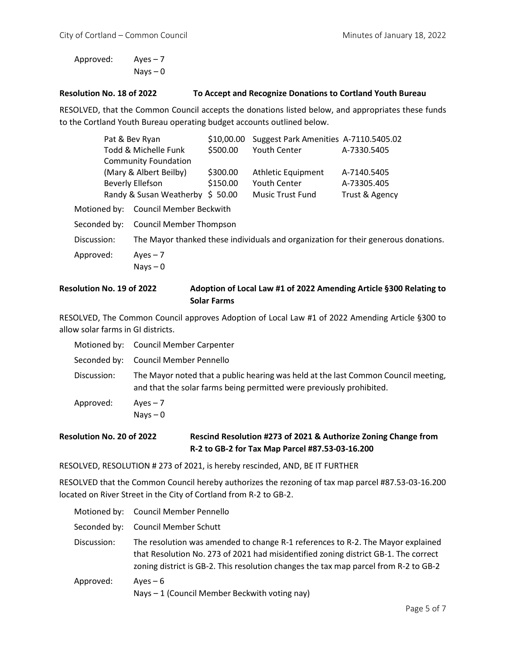Approved: Ayes – 7 Nays – 0

## **Resolution No. 18 of 2022 To Accept and Recognize Donations to Cortland Youth Bureau**

RESOLVED, that the Common Council accepts the donations listed below, and appropriates these funds to the Cortland Youth Bureau operating budget accounts outlined below.

|              | Pat & Bev Ryan                 | \$10,00.00 | Suggest Park Amenities A-7110.5405.02 |                                                                                    |
|--------------|--------------------------------|------------|---------------------------------------|------------------------------------------------------------------------------------|
|              | Todd & Michelle Funk           | \$500.00   | Youth Center                          | A-7330.5405                                                                        |
|              | <b>Community Foundation</b>    |            |                                       |                                                                                    |
|              | (Mary & Albert Beilby)         | \$300.00   | Athletic Equipment                    | A-7140.5405                                                                        |
|              | Beverly Ellefson               | \$150.00   | <b>Youth Center</b>                   | A-73305.405                                                                        |
|              | Randy & Susan Weatherby        | \$50.00    | <b>Music Trust Fund</b>               | Trust & Agency                                                                     |
| Motioned by: | <b>Council Member Beckwith</b> |            |                                       |                                                                                    |
| Seconded by: | <b>Council Member Thompson</b> |            |                                       |                                                                                    |
| Discussion:  |                                |            |                                       | The Mayor thanked these individuals and organization for their generous donations. |
| Approved:    | $Ayes - 7$<br>$Nays - 0$       |            |                                       |                                                                                    |

## **Resolution No. 19 of 2022 Adoption of Local Law #1 of 2022 Amending Article §300 Relating to Solar Farms**

RESOLVED, The Common Council approves Adoption of Local Law #1 of 2022 Amending Article §300 to allow solar farms in GI districts.

|             | Motioned by: Council Member Carpenter                                                                                                                      |
|-------------|------------------------------------------------------------------------------------------------------------------------------------------------------------|
|             | Seconded by: Council Member Pennello                                                                                                                       |
| Discussion: | The Mayor noted that a public hearing was held at the last Common Council meeting,<br>and that the solar farms being permitted were previously prohibited. |
| Approved:   | $Aves - 7$                                                                                                                                                 |
|             | Nays $-0$                                                                                                                                                  |

## **Resolution No. 20 of 2022 Rescind Resolution #273 of 2021 & Authorize Zoning Change from R-2 to GB-2 for Tax Map Parcel #87.53-03-16.200**

RESOLVED, RESOLUTION # 273 of 2021, is hereby rescinded, AND, BE IT FURTHER

RESOLVED that the Common Council hereby authorizes the rezoning of tax map parcel #87.53-03-16.200 located on River Street in the City of Cortland from R-2 to GB-2.

|              | Motioned by: Council Member Pennello                                                                                                                                                                                                                           |
|--------------|----------------------------------------------------------------------------------------------------------------------------------------------------------------------------------------------------------------------------------------------------------------|
| Seconded by: | <b>Council Member Schutt</b>                                                                                                                                                                                                                                   |
| Discussion:  | The resolution was amended to change R-1 references to R-2. The Mayor explained<br>that Resolution No. 273 of 2021 had misidentified zoning district GB-1. The correct<br>zoning district is GB-2. This resolution changes the tax map parcel from R-2 to GB-2 |
| Approved:    | Aves $-6$<br>Nays - 1 (Council Member Beckwith voting nay)                                                                                                                                                                                                     |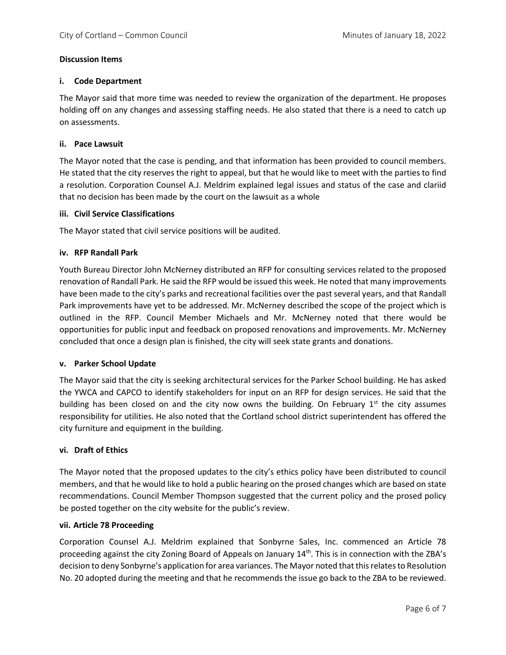## **Discussion Items**

#### **i. Code Department**

The Mayor said that more time was needed to review the organization of the department. He proposes holding off on any changes and assessing staffing needs. He also stated that there is a need to catch up on assessments.

#### **ii. Pace Lawsuit**

The Mayor noted that the case is pending, and that information has been provided to council members. He stated that the city reserves the right to appeal, but that he would like to meet with the parties to find a resolution. Corporation Counsel A.J. Meldrim explained legal issues and status of the case and clariid that no decision has been made by the court on the lawsuit as a whole

#### **iii. Civil Service Classifications**

The Mayor stated that civil service positions will be audited.

#### **iv. RFP Randall Park**

Youth Bureau Director John McNerney distributed an RFP for consulting services related to the proposed renovation of Randall Park. He said the RFP would be issued this week. He noted that many improvements have been made to the city's parks and recreational facilities over the past several years, and that Randall Park improvements have yet to be addressed. Mr. McNerney described the scope of the project which is outlined in the RFP. Council Member Michaels and Mr. McNerney noted that there would be opportunities for public input and feedback on proposed renovations and improvements. Mr. McNerney concluded that once a design plan is finished, the city will seek state grants and donations.

#### **v. Parker School Update**

The Mayor said that the city is seeking architectural services for the Parker School building. He has asked the YWCA and CAPCO to identify stakeholders for input on an RFP for design services. He said that the building has been closed on and the city now owns the building. On February  $1^{st}$  the city assumes responsibility for utilities. He also noted that the Cortland school district superintendent has offered the city furniture and equipment in the building.

## **vi. Draft of Ethics**

The Mayor noted that the proposed updates to the city's ethics policy have been distributed to council members, and that he would like to hold a public hearing on the prosed changes which are based on state recommendations. Council Member Thompson suggested that the current policy and the prosed policy be posted together on the city website for the public's review.

#### **vii. Article 78 Proceeding**

Corporation Counsel A.J. Meldrim explained that Sonbyrne Sales, Inc. commenced an Article 78 proceeding against the city Zoning Board of Appeals on January 14th. This is in connection with the ZBA's decision to deny Sonbyrne's application for area variances. The Mayor noted that this relates to Resolution No. 20 adopted during the meeting and that he recommends the issue go back to the ZBA to be reviewed.